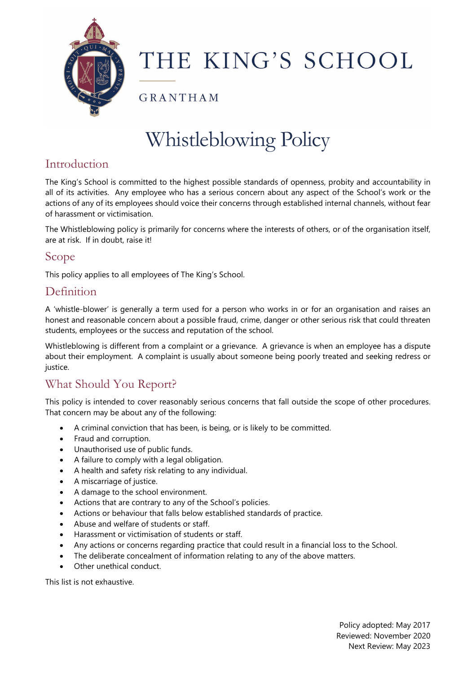

# THE KING'S SCHOOL

GRANTHAM

# Whistleblowing Policy

# Introduction

The King's School is committed to the highest possible standards of openness, probity and accountability in all of its activities. Any employee who has a serious concern about any aspect of the School's work or the actions of any of its employees should voice their concerns through established internal channels, without fear of harassment or victimisation.

The Whistleblowing policy is primarily for concerns where the interests of others, or of the organisation itself, are at risk. If in doubt, raise it!

#### Scope

This policy applies to all employees of The King's School.

#### Definition

A 'whistle-blower' is generally a term used for a person who works in or for an organisation and raises an honest and reasonable concern about a possible fraud, crime, danger or other serious risk that could threaten students, employees or the success and reputation of the school.

Whistleblowing is different from a complaint or a grievance. A grievance is when an employee has a dispute about their employment. A complaint is usually about someone being poorly treated and seeking redress or justice.

# What Should You Report?

This policy is intended to cover reasonably serious concerns that fall outside the scope of other procedures. That concern may be about any of the following:

- A criminal conviction that has been, is being, or is likely to be committed.
- Fraud and corruption.
- Unauthorised use of public funds.
- A failure to comply with a legal obligation.
- A health and safety risk relating to any individual.
- A miscarriage of justice.
- A damage to the school environment.
- Actions that are contrary to any of the School's policies.
- Actions or behaviour that falls below established standards of practice.
- Abuse and welfare of students or staff.
- Harassment or victimisation of students or staff.
- Any actions or concerns regarding practice that could result in a financial loss to the School.
- The deliberate concealment of information relating to any of the above matters.
- Other unethical conduct.

This list is not exhaustive.

Policy adopted: May 2017 Reviewed: November 2020 Next Review: May 2023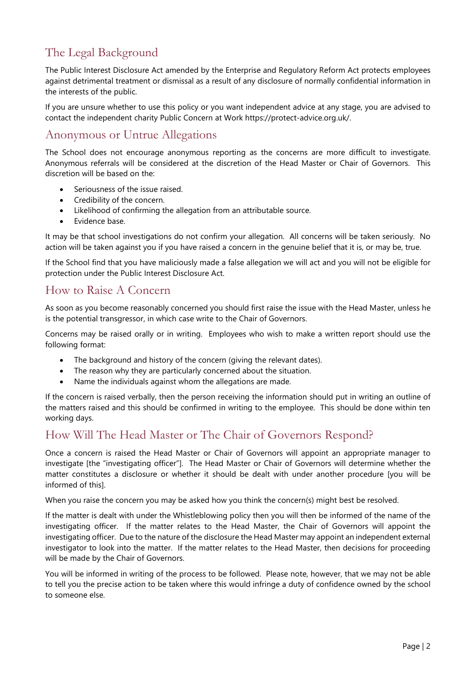# The Legal Background

The Public Interest Disclosure Act amended by the Enterprise and Regulatory Reform Act protects employees against detrimental treatment or dismissal as a result of any disclosure of normally confidential information in the interests of the public.

If you are unsure whether to use this policy or you want independent advice at any stage, you are advised to contact the independent charity Public Concern at Work https://protect-advice.org.uk/.

#### Anonymous or Untrue Allegations

The School does not encourage anonymous reporting as the concerns are more difficult to investigate. Anonymous referrals will be considered at the discretion of the Head Master or Chair of Governors. This discretion will be based on the:

- Seriousness of the issue raised.
- Credibility of the concern.
- Likelihood of confirming the allegation from an attributable source.
- Evidence base.

It may be that school investigations do not confirm your allegation. All concerns will be taken seriously. No action will be taken against you if you have raised a concern in the genuine belief that it is, or may be, true.

If the School find that you have maliciously made a false allegation we will act and you will not be eligible for protection under the Public Interest Disclosure Act.

#### How to Raise A Concern

As soon as you become reasonably concerned you should first raise the issue with the Head Master, unless he is the potential transgressor, in which case write to the Chair of Governors.

Concerns may be raised orally or in writing. Employees who wish to make a written report should use the following format:

- The background and history of the concern (giving the relevant dates).
- The reason why they are particularly concerned about the situation.
- Name the individuals against whom the allegations are made.

If the concern is raised verbally, then the person receiving the information should put in writing an outline of the matters raised and this should be confirmed in writing to the employee. This should be done within ten working days.

#### How Will The Head Master or The Chair of Governors Respond?

Once a concern is raised the Head Master or Chair of Governors will appoint an appropriate manager to investigate [the "investigating officer"]. The Head Master or Chair of Governors will determine whether the matter constitutes a disclosure or whether it should be dealt with under another procedure [you will be informed of this].

When you raise the concern you may be asked how you think the concern(s) might best be resolved.

If the matter is dealt with under the Whistleblowing policy then you will then be informed of the name of the investigating officer. If the matter relates to the Head Master, the Chair of Governors will appoint the investigating officer. Due to the nature of the disclosure the Head Master may appoint an independent external investigator to look into the matter. If the matter relates to the Head Master, then decisions for proceeding will be made by the Chair of Governors.

You will be informed in writing of the process to be followed. Please note, however, that we may not be able to tell you the precise action to be taken where this would infringe a duty of confidence owned by the school to someone else.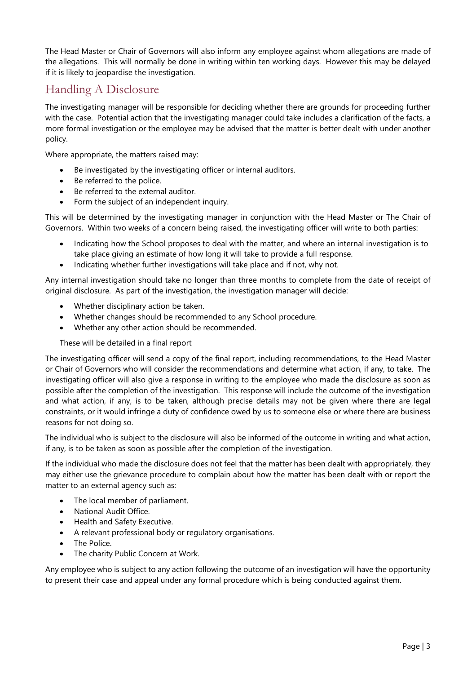The Head Master or Chair of Governors will also inform any employee against whom allegations are made of the allegations. This will normally be done in writing within ten working days. However this may be delayed if it is likely to jeopardise the investigation.

#### Handling A Disclosure

The investigating manager will be responsible for deciding whether there are grounds for proceeding further with the case. Potential action that the investigating manager could take includes a clarification of the facts, a more formal investigation or the employee may be advised that the matter is better dealt with under another policy.

Where appropriate, the matters raised may:

- Be investigated by the investigating officer or internal auditors.
- Be referred to the police.
- Be referred to the external auditor.
- Form the subject of an independent inquiry.

This will be determined by the investigating manager in conjunction with the Head Master or The Chair of Governors. Within two weeks of a concern being raised, the investigating officer will write to both parties:

- Indicating how the School proposes to deal with the matter, and where an internal investigation is to take place giving an estimate of how long it will take to provide a full response.
- Indicating whether further investigations will take place and if not, why not.

Any internal investigation should take no longer than three months to complete from the date of receipt of original disclosure. As part of the investigation, the investigation manager will decide:

- Whether disciplinary action be taken.
- Whether changes should be recommended to any School procedure.
- Whether any other action should be recommended.

These will be detailed in a final report

The investigating officer will send a copy of the final report, including recommendations, to the Head Master or Chair of Governors who will consider the recommendations and determine what action, if any, to take. The investigating officer will also give a response in writing to the employee who made the disclosure as soon as possible after the completion of the investigation. This response will include the outcome of the investigation and what action, if any, is to be taken, although precise details may not be given where there are legal constraints, or it would infringe a duty of confidence owed by us to someone else or where there are business reasons for not doing so.

The individual who is subject to the disclosure will also be informed of the outcome in writing and what action, if any, is to be taken as soon as possible after the completion of the investigation.

If the individual who made the disclosure does not feel that the matter has been dealt with appropriately, they may either use the grievance procedure to complain about how the matter has been dealt with or report the matter to an external agency such as:

- The local member of parliament.
- National Audit Office.
- Health and Safety Executive.
- A relevant professional body or regulatory organisations.
- The Police.
- The charity Public Concern at Work.

Any employee who is subject to any action following the outcome of an investigation will have the opportunity to present their case and appeal under any formal procedure which is being conducted against them.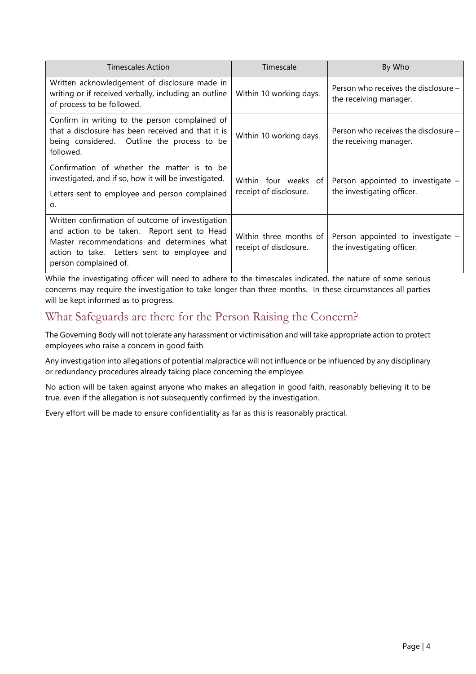| <b>Timescales Action</b>                                                                                                                                                                                               | Timescale                                        | By Who                                                           |
|------------------------------------------------------------------------------------------------------------------------------------------------------------------------------------------------------------------------|--------------------------------------------------|------------------------------------------------------------------|
| Written acknowledgement of disclosure made in<br>writing or if received verbally, including an outline<br>of process to be followed.                                                                                   | Within 10 working days.                          | Person who receives the disclosure -<br>the receiving manager.   |
| Confirm in writing to the person complained of<br>that a disclosure has been received and that it is<br>being considered. Outline the process to be<br>followed.                                                       | Within 10 working days.                          | Person who receives the disclosure $-$<br>the receiving manager. |
| Confirmation of whether the matter is to be<br>investigated, and if so, how it will be investigated.<br>Letters sent to employee and person complained<br>0.                                                           | Within four weeks of<br>receipt of disclosure.   | Person appointed to investigate -<br>the investigating officer.  |
| Written confirmation of outcome of investigation<br>and action to be taken. Report sent to Head<br>Master recommendations and determines what<br>action to take. Letters sent to employee and<br>person complained of. | Within three months of<br>receipt of disclosure. | Person appointed to investigate -<br>the investigating officer.  |

While the investigating officer will need to adhere to the timescales indicated, the nature of some serious concerns may require the investigation to take longer than three months. In these circumstances all parties will be kept informed as to progress.

# What Safeguards are there for the Person Raising the Concern?

The Governing Body will not tolerate any harassment or victimisation and will take appropriate action to protect employees who raise a concern in good faith.

Any investigation into allegations of potential malpractice will not influence or be influenced by any disciplinary or redundancy procedures already taking place concerning the employee.

No action will be taken against anyone who makes an allegation in good faith, reasonably believing it to be true, even if the allegation is not subsequently confirmed by the investigation.

Every effort will be made to ensure confidentiality as far as this is reasonably practical.